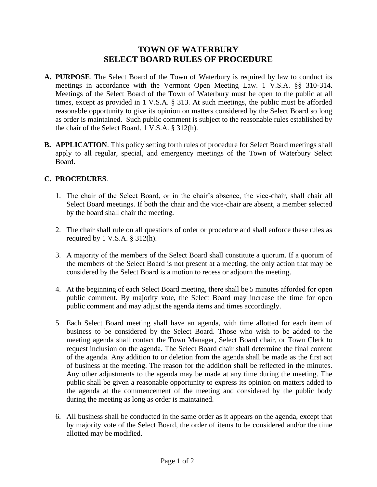## **TOWN OF WATERBURY SELECT BOARD RULES OF PROCEDURE**

- **A. PURPOSE**. The Select Board of the Town of Waterbury is required by law to conduct its meetings in accordance with the Vermont Open Meeting Law. 1 V.S.A. §§ 310-314. Meetings of the Select Board of the Town of Waterbury must be open to the public at all times, except as provided in 1 V.S.A. § 313. At such meetings, the public must be afforded reasonable opportunity to give its opinion on matters considered by the Select Board so long as order is maintained. Such public comment is subject to the reasonable rules established by the chair of the Select Board. 1 V.S.A. § 312(h).
- **B. APPLICATION**. This policy setting forth rules of procedure for Select Board meetings shall apply to all regular, special, and emergency meetings of the Town of Waterbury Select Board.

## **C. PROCEDURES**.

- 1. The chair of the Select Board, or in the chair's absence, the vice-chair, shall chair all Select Board meetings. If both the chair and the vice-chair are absent, a member selected by the board shall chair the meeting.
- 2. The chair shall rule on all questions of order or procedure and shall enforce these rules as required by  $1 \text{ V.S.A. }$  §  $312(h)$ .
- 3. A majority of the members of the Select Board shall constitute a quorum. If a quorum of the members of the Select Board is not present at a meeting, the only action that may be considered by the Select Board is a motion to recess or adjourn the meeting.
- 4. At the beginning of each Select Board meeting, there shall be 5 minutes afforded for open public comment. By majority vote, the Select Board may increase the time for open public comment and may adjust the agenda items and times accordingly.
- 5. Each Select Board meeting shall have an agenda, with time allotted for each item of business to be considered by the Select Board. Those who wish to be added to the meeting agenda shall contact the Town Manager, Select Board chair, or Town Clerk to request inclusion on the agenda. The Select Board chair shall determine the final content of the agenda. Any addition to or deletion from the agenda shall be made as the first act of business at the meeting. The reason for the addition shall be reflected in the minutes. Any other adjustments to the agenda may be made at any time during the meeting. The public shall be given a reasonable opportunity to express its opinion on matters added to the agenda at the commencement of the meeting and considered by the public body during the meeting as long as order is maintained.
- 6. All business shall be conducted in the same order as it appears on the agenda, except that by majority vote of the Select Board, the order of items to be considered and/or the time allotted may be modified.